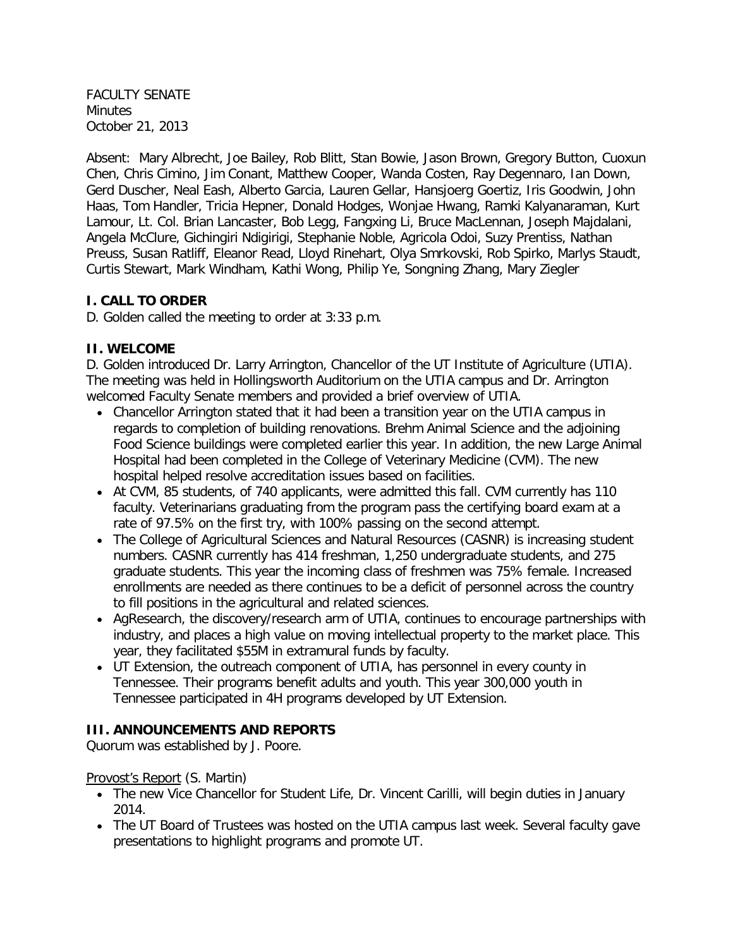FACULTY SENATE Minutes October 21, 2013

Absent: Mary Albrecht, Joe Bailey, Rob Blitt, Stan Bowie, Jason Brown, Gregory Button, Cuoxun Chen, Chris Cimino, Jim Conant, Matthew Cooper, Wanda Costen, Ray Degennaro, Ian Down, Gerd Duscher, Neal Eash, Alberto Garcia, Lauren Gellar, Hansjoerg Goertiz, Iris Goodwin, John Haas, Tom Handler, Tricia Hepner, Donald Hodges, Wonjae Hwang, Ramki Kalyanaraman, Kurt Lamour, Lt. Col. Brian Lancaster, Bob Legg, Fangxing Li, Bruce MacLennan, Joseph Majdalani, Angela McClure, Gichingiri Ndigirigi, Stephanie Noble, Agricola Odoi, Suzy Prentiss, Nathan Preuss, Susan Ratliff, Eleanor Read, Lloyd Rinehart, Olya Smrkovski, Rob Spirko, Marlys Staudt, Curtis Stewart, Mark Windham, Kathi Wong, Philip Ye, Songning Zhang, Mary Ziegler

## **I. CALL TO ORDER**

D. Golden called the meeting to order at 3:33 p.m.

## **II. WELCOME**

D. Golden introduced Dr. Larry Arrington, Chancellor of the UT Institute of Agriculture (UTIA). The meeting was held in Hollingsworth Auditorium on the UTIA campus and Dr. Arrington welcomed Faculty Senate members and provided a brief overview of UTIA.

- Chancellor Arrington stated that it had been a transition year on the UTIA campus in regards to completion of building renovations. Brehm Animal Science and the adjoining Food Science buildings were completed earlier this year. In addition, the new Large Animal Hospital had been completed in the College of Veterinary Medicine (CVM). The new hospital helped resolve accreditation issues based on facilities.
- At CVM, 85 students, of 740 applicants, were admitted this fall. CVM currently has 110 faculty. Veterinarians graduating from the program pass the certifying board exam at a rate of 97.5% on the first try, with 100% passing on the second attempt.
- The College of Agricultural Sciences and Natural Resources (CASNR) is increasing student numbers. CASNR currently has 414 freshman, 1,250 undergraduate students, and 275 graduate students. This year the incoming class of freshmen was 75% female. Increased enrollments are needed as there continues to be a deficit of personnel across the country to fill positions in the agricultural and related sciences.
- AgResearch, the discovery/research arm of UTIA, continues to encourage partnerships with industry, and places a high value on moving intellectual property to the market place. This year, they facilitated \$55M in extramural funds by faculty.
- UT Extension, the outreach component of UTIA, has personnel in every county in Tennessee. Their programs benefit adults and youth. This year 300,000 youth in Tennessee participated in 4H programs developed by UT Extension.

## **III. ANNOUNCEMENTS AND REPORTS**

Quorum was established by J. Poore.

## Provost's Report (S. Martin)

- The new Vice Chancellor for Student Life, Dr. Vincent Carilli, will begin duties in January 2014.
- The UT Board of Trustees was hosted on the UTIA campus last week. Several faculty gave presentations to highlight programs and promote UT.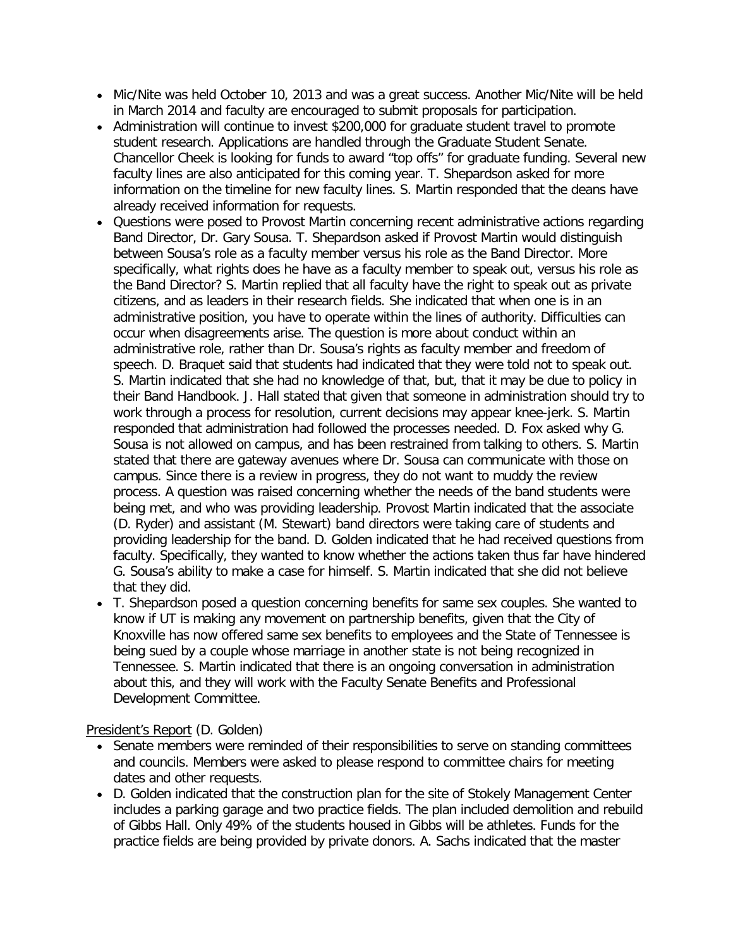- Mic/Nite was held October 10, 2013 and was a great success. Another Mic/Nite will be held in March 2014 and faculty are encouraged to submit proposals for participation.
- Administration will continue to invest \$200,000 for graduate student travel to promote student research. Applications are handled through the Graduate Student Senate. Chancellor Cheek is looking for funds to award "top offs" for graduate funding. Several new faculty lines are also anticipated for this coming year. T. Shepardson asked for more information on the timeline for new faculty lines. S. Martin responded that the deans have already received information for requests.
- Questions were posed to Provost Martin concerning recent administrative actions regarding Band Director, Dr. Gary Sousa. T. Shepardson asked if Provost Martin would distinguish between Sousa's role as a faculty member versus his role as the Band Director. More specifically, what rights does he have as a faculty member to speak out, versus his role as the Band Director? S. Martin replied that all faculty have the right to speak out as private citizens, and as leaders in their research fields. She indicated that when one is in an administrative position, you have to operate within the lines of authority. Difficulties can occur when disagreements arise. The question is more about conduct within an administrative role, rather than Dr. Sousa's rights as faculty member and freedom of speech. D. Braquet said that students had indicated that they were told not to speak out. S. Martin indicated that she had no knowledge of that, but, that it may be due to policy in their Band Handbook. J. Hall stated that given that someone in administration should try to work through a process for resolution, current decisions may appear knee-jerk. S. Martin responded that administration had followed the processes needed. D. Fox asked why G. Sousa is not allowed on campus, and has been restrained from talking to others. S. Martin stated that there are gateway avenues where Dr. Sousa can communicate with those on campus. Since there is a review in progress, they do not want to muddy the review process. A question was raised concerning whether the needs of the band students were being met, and who was providing leadership. Provost Martin indicated that the associate (D. Ryder) and assistant (M. Stewart) band directors were taking care of students and providing leadership for the band. D. Golden indicated that he had received questions from faculty. Specifically, they wanted to know whether the actions taken thus far have hindered G. Sousa's ability to make a case for himself. S. Martin indicated that she did not believe that they did.
- T. Shepardson posed a question concerning benefits for same sex couples. She wanted to know if UT is making any movement on partnership benefits, given that the City of Knoxville has now offered same sex benefits to employees and the State of Tennessee is being sued by a couple whose marriage in another state is not being recognized in Tennessee. S. Martin indicated that there is an ongoing conversation in administration about this, and they will work with the Faculty Senate Benefits and Professional Development Committee.

President's Report (D. Golden)

- Senate members were reminded of their responsibilities to serve on standing committees and councils. Members were asked to please respond to committee chairs for meeting dates and other requests.
- D. Golden indicated that the construction plan for the site of Stokely Management Center includes a parking garage and two practice fields. The plan included demolition and rebuild of Gibbs Hall. Only 49% of the students housed in Gibbs will be athletes. Funds for the practice fields are being provided by private donors. A. Sachs indicated that the master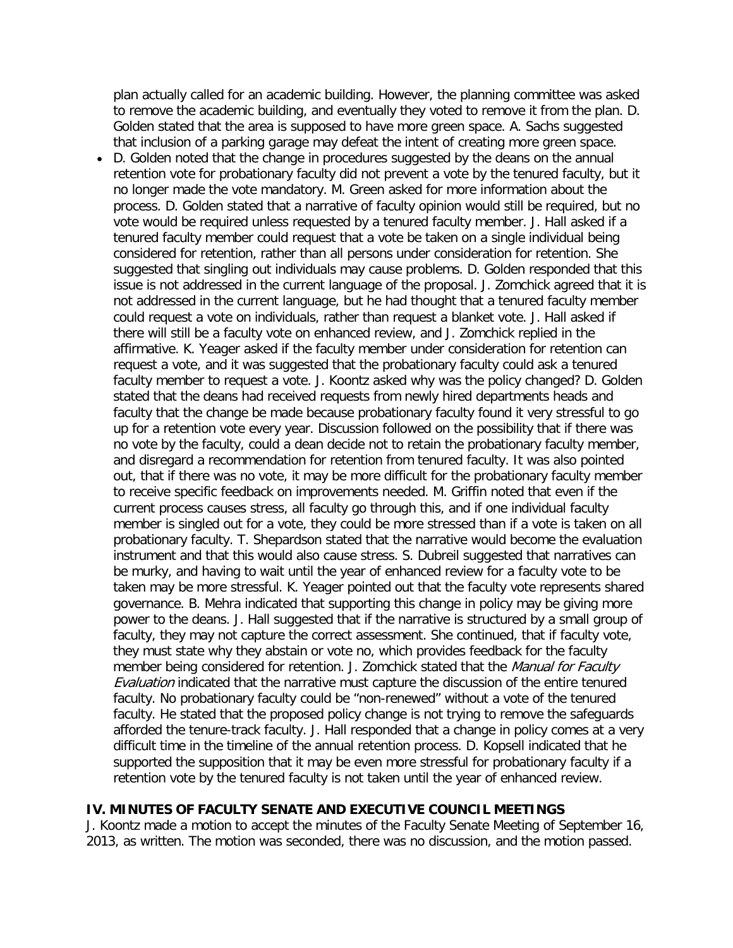plan actually called for an academic building. However, the planning committee was asked to remove the academic building, and eventually they voted to remove it from the plan. D. Golden stated that the area is supposed to have more green space. A. Sachs suggested that inclusion of a parking garage may defeat the intent of creating more green space.

• D. Golden noted that the change in procedures suggested by the deans on the annual retention vote for probationary faculty did not prevent a vote by the tenured faculty, but it no longer made the vote mandatory. M. Green asked for more information about the process. D. Golden stated that a narrative of faculty opinion would still be required, but no vote would be required unless requested by a tenured faculty member. J. Hall asked if a tenured faculty member could request that a vote be taken on a single individual being considered for retention, rather than all persons under consideration for retention. She suggested that singling out individuals may cause problems. D. Golden responded that this issue is not addressed in the current language of the proposal. J. Zomchick agreed that it is not addressed in the current language, but he had thought that a tenured faculty member could request a vote on individuals, rather than request a blanket vote. J. Hall asked if there will still be a faculty vote on enhanced review, and J. Zomchick replied in the affirmative. K. Yeager asked if the faculty member under consideration for retention can request a vote, and it was suggested that the probationary faculty could ask a tenured faculty member to request a vote. J. Koontz asked why was the policy changed? D. Golden stated that the deans had received requests from newly hired departments heads and faculty that the change be made because probationary faculty found it very stressful to go up for a retention vote every year. Discussion followed on the possibility that if there was no vote by the faculty, could a dean decide not to retain the probationary faculty member, and disregard a recommendation for retention from tenured faculty. It was also pointed out, that if there was no vote, it may be more difficult for the probationary faculty member to receive specific feedback on improvements needed. M. Griffin noted that even if the current process causes stress, all faculty go through this, and if one individual faculty member is singled out for a vote, they could be more stressed than if a vote is taken on all probationary faculty. T. Shepardson stated that the narrative would become the evaluation instrument and that this would also cause stress. S. Dubreil suggested that narratives can be murky, and having to wait until the year of enhanced review for a faculty vote to be taken may be more stressful. K. Yeager pointed out that the faculty vote represents shared governance. B. Mehra indicated that supporting this change in policy may be giving more power to the deans. J. Hall suggested that if the narrative is structured by a small group of faculty, they may not capture the correct assessment. She continued, that if faculty vote, they must state why they abstain or vote no, which provides feedback for the faculty member being considered for retention. J. Zomchick stated that the Manual for Faculty **Evaluation indicated that the narrative must capture the discussion of the entire tenured** faculty. No probationary faculty could be "non-renewed" without a vote of the tenured faculty. He stated that the proposed policy change is not trying to remove the safeguards afforded the tenure-track faculty. J. Hall responded that a change in policy comes at a very difficult time in the timeline of the annual retention process. D. Kopsell indicated that he supported the supposition that it may be even more stressful for probationary faculty if a retention vote by the tenured faculty is not taken until the year of enhanced review.

### **IV. MINUTES OF FACULTY SENATE AND EXECUTIVE COUNCIL MEETINGS**

J. Koontz made a motion to accept the minutes of the Faculty Senate Meeting of September 16, 2013, as written. The motion was seconded, there was no discussion, and the motion passed.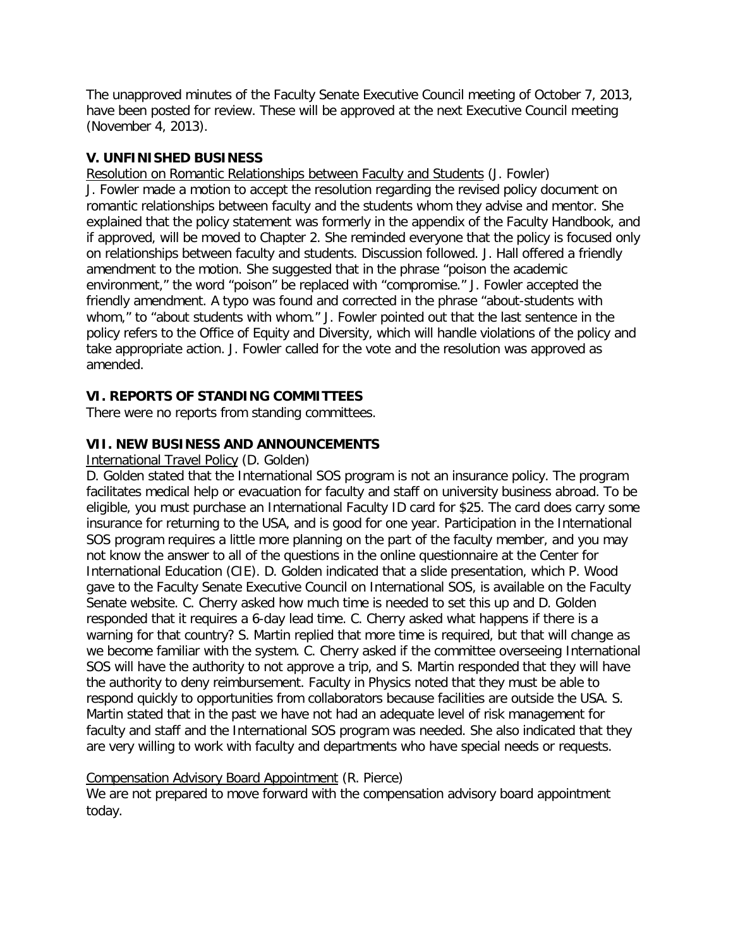The unapproved minutes of the Faculty Senate Executive Council meeting of October 7, 2013, have been posted for review. These will be approved at the next Executive Council meeting (November 4, 2013).

## **V. UNFINISHED BUSINESS**

Resolution on Romantic Relationships between Faculty and Students (J. Fowler) J. Fowler made a motion to accept the resolution regarding the revised policy document on romantic relationships between faculty and the students whom they advise and mentor. She explained that the policy statement was formerly in the appendix of the Faculty Handbook, and if approved, will be moved to Chapter 2. She reminded everyone that the policy is focused only on relationships between faculty and students. Discussion followed. J. Hall offered a friendly amendment to the motion. She suggested that in the phrase "poison the academic environment," the word "poison" be replaced with "compromise." J. Fowler accepted the friendly amendment. A typo was found and corrected in the phrase "about-students with whom," to "about students with whom." J. Fowler pointed out that the last sentence in the policy refers to the Office of Equity and Diversity, which will handle violations of the policy and take appropriate action. J. Fowler called for the vote and the resolution was approved as amended.

# **VI. REPORTS OF STANDING COMMITTEES**

There were no reports from standing committees.

# **VII. NEW BUSINESS AND ANNOUNCEMENTS**

International Travel Policy (D. Golden)

D. Golden stated that the International SOS program is not an insurance policy. The program facilitates medical help or evacuation for faculty and staff on university business abroad. To be eligible, you must purchase an International Faculty ID card for \$25. The card does carry some insurance for returning to the USA, and is good for one year. Participation in the International SOS program requires a little more planning on the part of the faculty member, and you may not know the answer to all of the questions in the online questionnaire at the Center for International Education (CIE). D. Golden indicated that a slide presentation, which P. Wood gave to the Faculty Senate Executive Council on International SOS, is available on the Faculty Senate website. C. Cherry asked how much time is needed to set this up and D. Golden responded that it requires a 6-day lead time. C. Cherry asked what happens if there is a warning for that country? S. Martin replied that more time is required, but that will change as we become familiar with the system. C. Cherry asked if the committee overseeing International SOS will have the authority to not approve a trip, and S. Martin responded that they will have the authority to deny reimbursement. Faculty in Physics noted that they must be able to respond quickly to opportunities from collaborators because facilities are outside the USA. S. Martin stated that in the past we have not had an adequate level of risk management for faculty and staff and the International SOS program was needed. She also indicated that they are very willing to work with faculty and departments who have special needs or requests.

## Compensation Advisory Board Appointment (R. Pierce)

We are not prepared to move forward with the compensation advisory board appointment today.